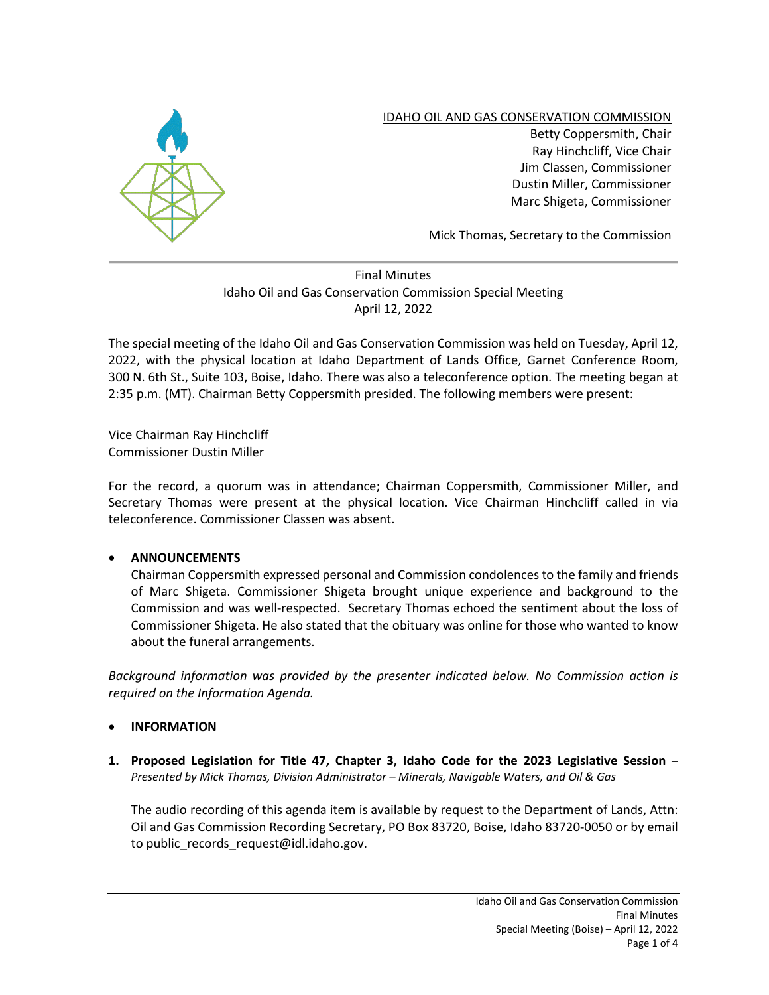

IDAHO OIL AND GAS CONSERVATION COMMISSION Betty Coppersmith, Chair Ray Hinchcliff, Vice Chair Jim Classen, Commissioner Dustin Miller, Commissioner Marc Shigeta, Commissioner

Mick Thomas, Secretary to the Commission

## Final Minutes Idaho Oil and Gas Conservation Commission Special Meeting April 12, 2022

The special meeting of the Idaho Oil and Gas Conservation Commission was held on Tuesday, April 12, 2022, with the physical location at Idaho Department of Lands Office, Garnet Conference Room, 300 N. 6th St., Suite 103, Boise, Idaho. There was also a teleconference option. The meeting began at 2:35 p.m. (MT). Chairman Betty Coppersmith presided. The following members were present:

Vice Chairman Ray Hinchcliff Commissioner Dustin Miller

For the record, a quorum was in attendance; Chairman Coppersmith, Commissioner Miller, and Secretary Thomas were present at the physical location. Vice Chairman Hinchcliff called in via teleconference. Commissioner Classen was absent.

## • **ANNOUNCEMENTS**

Chairman Coppersmith expressed personal and Commission condolences to the family and friends of Marc Shigeta. Commissioner Shigeta brought unique experience and background to the Commission and was well-respected. Secretary Thomas echoed the sentiment about the loss of Commissioner Shigeta. He also stated that the obituary was online for those who wanted to know about the funeral arrangements.

*Background information was provided by the presenter indicated below. No Commission action is required on the Information Agenda.* 

## • **INFORMATION**

**1. Proposed Legislation for Title 47, Chapter 3, Idaho Code for the 2023 Legislative Session** – *Presented by Mick Thomas, Division Administrator – Minerals, Navigable Waters, and Oil & Gas*

The audio recording of this agenda item is available by request to the Department of Lands, Attn: Oil and Gas Commission Recording Secretary, PO Box 83720, Boise, Idaho 83720-0050 or by email to public records request@idl.idaho.gov.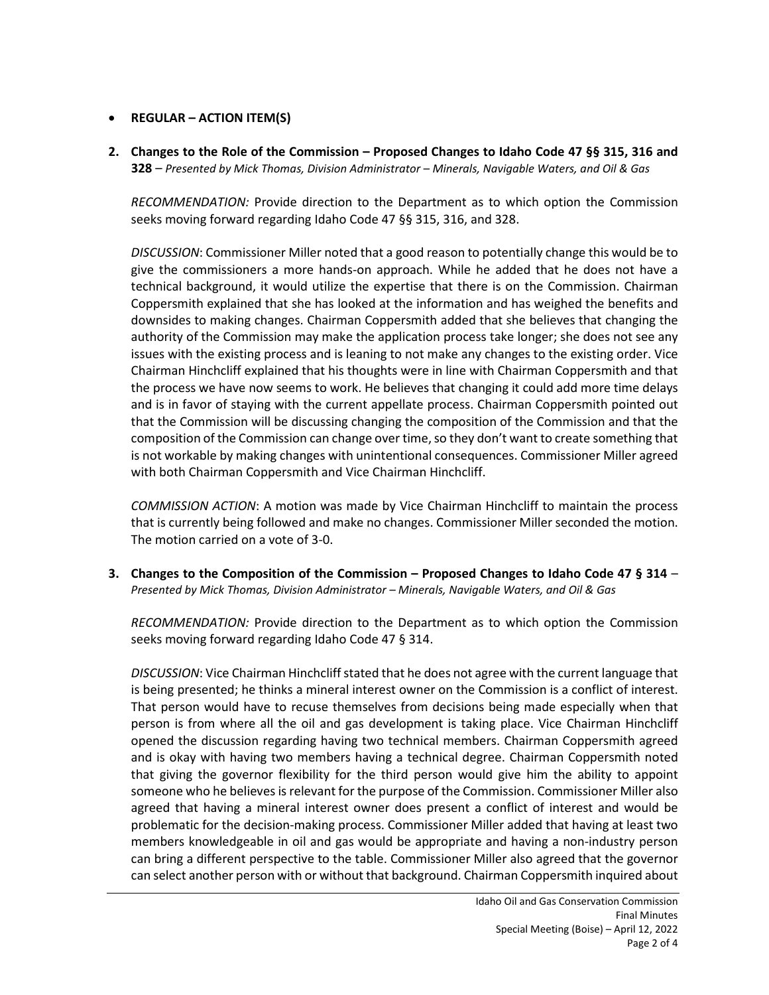## • **REGULAR – ACTION ITEM(S)**

**2. Changes to the Role of the Commission – Proposed Changes to Idaho Code 47 §§ 315, 316 and 328** – *Presented by Mick Thomas, Division Administrator – Minerals, Navigable Waters, and Oil & Gas*

*RECOMMENDATION:* Provide direction to the Department as to which option the Commission seeks moving forward regarding Idaho Code 47 §§ 315, 316, and 328.

*DISCUSSION*: Commissioner Miller noted that a good reason to potentially change this would be to give the commissioners a more hands-on approach. While he added that he does not have a technical background, it would utilize the expertise that there is on the Commission. Chairman Coppersmith explained that she has looked at the information and has weighed the benefits and downsides to making changes. Chairman Coppersmith added that she believes that changing the authority of the Commission may make the application process take longer; she does not see any issues with the existing process and is leaning to not make any changes to the existing order. Vice Chairman Hinchcliff explained that his thoughts were in line with Chairman Coppersmith and that the process we have now seems to work. He believes that changing it could add more time delays and is in favor of staying with the current appellate process. Chairman Coppersmith pointed out that the Commission will be discussing changing the composition of the Commission and that the composition of the Commission can change over time, so they don't want to create something that is not workable by making changes with unintentional consequences. Commissioner Miller agreed with both Chairman Coppersmith and Vice Chairman Hinchcliff.

*COMMISSION ACTION*: A motion was made by Vice Chairman Hinchcliff to maintain the process that is currently being followed and make no changes. Commissioner Miller seconded the motion. The motion carried on a vote of 3-0.

**3. Changes to the Composition of the Commission – Proposed Changes to Idaho Code 47 § 314** – *Presented by Mick Thomas, Division Administrator – Minerals, Navigable Waters, and Oil & Gas*

*RECOMMENDATION:* Provide direction to the Department as to which option the Commission seeks moving forward regarding Idaho Code 47 § 314.

*DISCUSSION*: Vice Chairman Hinchcliff stated that he does not agree with the current language that is being presented; he thinks a mineral interest owner on the Commission is a conflict of interest. That person would have to recuse themselves from decisions being made especially when that person is from where all the oil and gas development is taking place. Vice Chairman Hinchcliff opened the discussion regarding having two technical members. Chairman Coppersmith agreed and is okay with having two members having a technical degree. Chairman Coppersmith noted that giving the governor flexibility for the third person would give him the ability to appoint someone who he believes is relevant for the purpose of the Commission. Commissioner Miller also agreed that having a mineral interest owner does present a conflict of interest and would be problematic for the decision-making process. Commissioner Miller added that having at least two members knowledgeable in oil and gas would be appropriate and having a non-industry person can bring a different perspective to the table. Commissioner Miller also agreed that the governor can select another person with or without that background. Chairman Coppersmith inquired about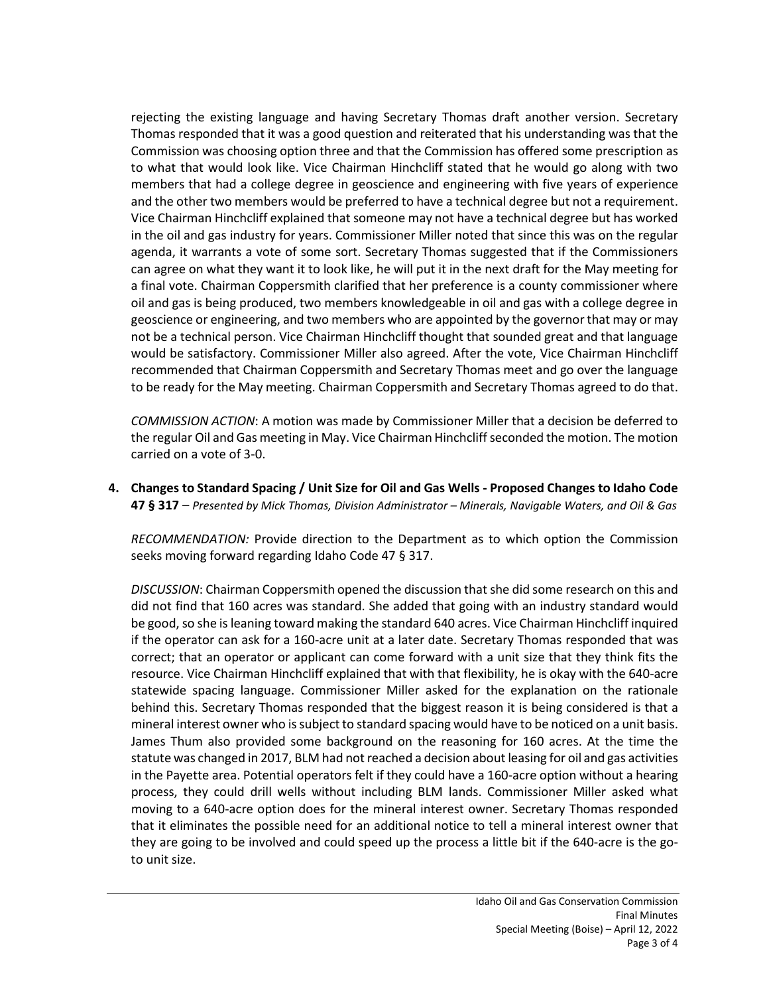rejecting the existing language and having Secretary Thomas draft another version. Secretary Thomas responded that it was a good question and reiterated that his understanding was that the Commission was choosing option three and that the Commission has offered some prescription as to what that would look like. Vice Chairman Hinchcliff stated that he would go along with two members that had a college degree in geoscience and engineering with five years of experience and the other two members would be preferred to have a technical degree but not a requirement. Vice Chairman Hinchcliff explained that someone may not have a technical degree but has worked in the oil and gas industry for years. Commissioner Miller noted that since this was on the regular agenda, it warrants a vote of some sort. Secretary Thomas suggested that if the Commissioners can agree on what they want it to look like, he will put it in the next draft for the May meeting for a final vote. Chairman Coppersmith clarified that her preference is a county commissioner where oil and gas is being produced, two members knowledgeable in oil and gas with a college degree in geoscience or engineering, and two members who are appointed by the governor that may or may not be a technical person. Vice Chairman Hinchcliff thought that sounded great and that language would be satisfactory. Commissioner Miller also agreed. After the vote, Vice Chairman Hinchcliff recommended that Chairman Coppersmith and Secretary Thomas meet and go over the language to be ready for the May meeting. Chairman Coppersmith and Secretary Thomas agreed to do that.

*COMMISSION ACTION*: A motion was made by Commissioner Miller that a decision be deferred to the regular Oil and Gas meeting in May. Vice Chairman Hinchcliff seconded the motion. The motion carried on a vote of 3-0.

**4. Changes to Standard Spacing / Unit Size for Oil and Gas Wells - Proposed Changes to Idaho Code 47 § 317** – *Presented by Mick Thomas, Division Administrator – Minerals, Navigable Waters, and Oil & Gas*

*RECOMMENDATION:* Provide direction to the Department as to which option the Commission seeks moving forward regarding Idaho Code 47 § 317.

*DISCUSSION*: Chairman Coppersmith opened the discussion that she did some research on this and did not find that 160 acres was standard. She added that going with an industry standard would be good, so she is leaning toward making the standard 640 acres. Vice Chairman Hinchcliff inquired if the operator can ask for a 160-acre unit at a later date. Secretary Thomas responded that was correct; that an operator or applicant can come forward with a unit size that they think fits the resource. Vice Chairman Hinchcliff explained that with that flexibility, he is okay with the 640-acre statewide spacing language. Commissioner Miller asked for the explanation on the rationale behind this. Secretary Thomas responded that the biggest reason it is being considered is that a mineral interest owner who is subject to standard spacing would have to be noticed on a unit basis. James Thum also provided some background on the reasoning for 160 acres. At the time the statute was changed in 2017, BLM had not reached a decision about leasing for oil and gas activities in the Payette area. Potential operators felt if they could have a 160-acre option without a hearing process, they could drill wells without including BLM lands. Commissioner Miller asked what moving to a 640-acre option does for the mineral interest owner. Secretary Thomas responded that it eliminates the possible need for an additional notice to tell a mineral interest owner that they are going to be involved and could speed up the process a little bit if the 640-acre is the goto unit size.